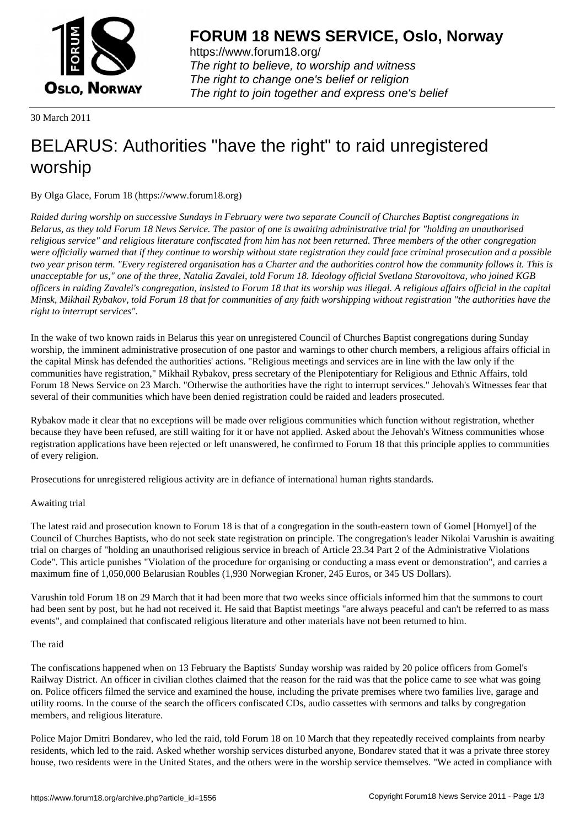

https://www.forum18.org/ The right to believe, to worship and witness The right to change one's belief or religion [The right to join together a](https://www.forum18.org/)nd express one's belief

30 March 2011

# [BELARUS: Auth](https://www.forum18.org)orities "have the right" to raid unregistered worship

By Olga Glace, Forum 18 (https://www.forum18.org)

*Raided during worship on successive Sundays in February were two separate Council of Churches Baptist congregations in Belarus, as they told Forum 18 News Service. The pastor of one is awaiting administrative trial for "holding an unauthorised religious service" and religious literature confiscated from him has not been returned. Three members of the other congregation were officially warned that if they continue to worship without state registration they could face criminal prosecution and a possible two year prison term. "Every registered organisation has a Charter and the authorities control how the community follows it. This is unacceptable for us," one of the three, Natalia Zavalei, told Forum 18. Ideology official Svetlana Starovoitova, who joined KGB officers in raiding Zavalei's congregation, insisted to Forum 18 that its worship was illegal. A religious affairs official in the capital Minsk, Mikhail Rybakov, told Forum 18 that for communities of any faith worshipping without registration "the authorities have the right to interrupt services".*

In the wake of two known raids in Belarus this year on unregistered Council of Churches Baptist congregations during Sunday worship, the imminent administrative prosecution of one pastor and warnings to other church members, a religious affairs official in the capital Minsk has defended the authorities' actions. "Religious meetings and services are in line with the law only if the communities have registration," Mikhail Rybakov, press secretary of the Plenipotentiary for Religious and Ethnic Affairs, told Forum 18 News Service on 23 March. "Otherwise the authorities have the right to interrupt services." Jehovah's Witnesses fear that several of their communities which have been denied registration could be raided and leaders prosecuted.

Rybakov made it clear that no exceptions will be made over religious communities which function without registration, whether because they have been refused, are still waiting for it or have not applied. Asked about the Jehovah's Witness communities whose registration applications have been rejected or left unanswered, he confirmed to Forum 18 that this principle applies to communities of every religion.

Prosecutions for unregistered religious activity are in defiance of international human rights standards.

## Awaiting trial

The latest raid and prosecution known to Forum 18 is that of a congregation in the south-eastern town of Gomel [Homyel] of the Council of Churches Baptists, who do not seek state registration on principle. The congregation's leader Nikolai Varushin is awaiting trial on charges of "holding an unauthorised religious service in breach of Article 23.34 Part 2 of the Administrative Violations Code". This article punishes "Violation of the procedure for organising or conducting a mass event or demonstration", and carries a maximum fine of 1,050,000 Belarusian Roubles (1,930 Norwegian Kroner, 245 Euros, or 345 US Dollars).

Varushin told Forum 18 on 29 March that it had been more that two weeks since officials informed him that the summons to court had been sent by post, but he had not received it. He said that Baptist meetings "are always peaceful and can't be referred to as mass events", and complained that confiscated religious literature and other materials have not been returned to him.

## The raid

The confiscations happened when on 13 February the Baptists' Sunday worship was raided by 20 police officers from Gomel's Railway District. An officer in civilian clothes claimed that the reason for the raid was that the police came to see what was going on. Police officers filmed the service and examined the house, including the private premises where two families live, garage and utility rooms. In the course of the search the officers confiscated CDs, audio cassettes with sermons and talks by congregation members, and religious literature.

Police Major Dmitri Bondarev, who led the raid, told Forum 18 on 10 March that they repeatedly received complaints from nearby residents, which led to the raid. Asked whether worship services disturbed anyone, Bondarev stated that it was a private three storey house, two residents were in the United States, and the others were in the worship service themselves. "We acted in compliance with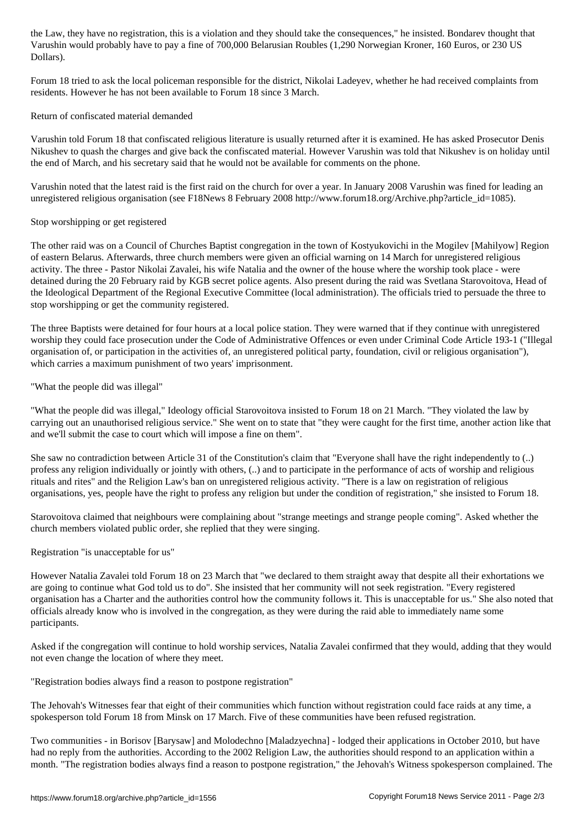Varushin would probably have to pay a fine of 700,000 Belarusian Roubles (1,290 Norwegian Kroner, 160 Euros, or 230 US Dollars).

Forum 18 tried to ask the local policeman responsible for the district, Nikolai Ladeyev, whether he had received complaints from residents. However he has not been available to Forum 18 since 3 March.

# Return of confiscated material demanded

Varushin told Forum 18 that confiscated religious literature is usually returned after it is examined. He has asked Prosecutor Denis Nikushev to quash the charges and give back the confiscated material. However Varushin was told that Nikushev is on holiday until the end of March, and his secretary said that he would not be available for comments on the phone.

Varushin noted that the latest raid is the first raid on the church for over a year. In January 2008 Varushin was fined for leading an unregistered religious organisation (see F18News 8 February 2008 http://www.forum18.org/Archive.php?article\_id=1085).

# Stop worshipping or get registered

The other raid was on a Council of Churches Baptist congregation in the town of Kostyukovichi in the Mogilev [Mahilyow] Region of eastern Belarus. Afterwards, three church members were given an official warning on 14 March for unregistered religious activity. The three - Pastor Nikolai Zavalei, his wife Natalia and the owner of the house where the worship took place - were detained during the 20 February raid by KGB secret police agents. Also present during the raid was Svetlana Starovoitova, Head of the Ideological Department of the Regional Executive Committee (local administration). The officials tried to persuade the three to stop worshipping or get the community registered.

The three Baptists were detained for four hours at a local police station. They were warned that if they continue with unregistered worship they could face prosecution under the Code of Administrative Offences or even under Criminal Code Article 193-1 ("Illegal organisation of, or participation in the activities of, an unregistered political party, foundation, civil or religious organisation"), which carries a maximum punishment of two years' imprisonment.

"What the people did was illegal"

"What the people did was illegal," Ideology official Starovoitova insisted to Forum 18 on 21 March. "They violated the law by carrying out an unauthorised religious service." She went on to state that "they were caught for the first time, another action like that and we'll submit the case to court which will impose a fine on them".

She saw no contradiction between Article 31 of the Constitution's claim that "Everyone shall have the right independently to (..) profess any religion individually or jointly with others, (..) and to participate in the performance of acts of worship and religious rituals and rites" and the Religion Law's ban on unregistered religious activity. "There is a law on registration of religious organisations, yes, people have the right to profess any religion but under the condition of registration," she insisted to Forum 18.

Starovoitova claimed that neighbours were complaining about "strange meetings and strange people coming". Asked whether the church members violated public order, she replied that they were singing.

## Registration "is unacceptable for us"

However Natalia Zavalei told Forum 18 on 23 March that "we declared to them straight away that despite all their exhortations we are going to continue what God told us to do". She insisted that her community will not seek registration. "Every registered organisation has a Charter and the authorities control how the community follows it. This is unacceptable for us." She also noted that officials already know who is involved in the congregation, as they were during the raid able to immediately name some participants.

Asked if the congregation will continue to hold worship services, Natalia Zavalei confirmed that they would, adding that they would not even change the location of where they meet.

"Registration bodies always find a reason to postpone registration"

The Jehovah's Witnesses fear that eight of their communities which function without registration could face raids at any time, a spokesperson told Forum 18 from Minsk on 17 March. Five of these communities have been refused registration.

Two communities - in Borisov [Barysaw] and Molodechno [Maladzyechna] - lodged their applications in October 2010, but have had no reply from the authorities. According to the 2002 Religion Law, the authorities should respond to an application within a month. "The registration bodies always find a reason to postpone registration," the Jehovah's Witness spokesperson complained. The